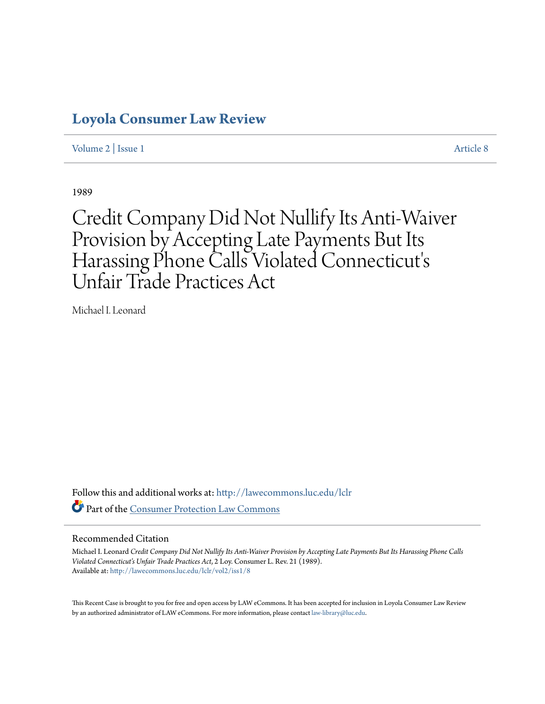## **[Loyola Consumer Law Review](http://lawecommons.luc.edu/lclr?utm_source=lawecommons.luc.edu%2Flclr%2Fvol2%2Fiss1%2F8&utm_medium=PDF&utm_campaign=PDFCoverPages)**

[Volume 2](http://lawecommons.luc.edu/lclr/vol2?utm_source=lawecommons.luc.edu%2Flclr%2Fvol2%2Fiss1%2F8&utm_medium=PDF&utm_campaign=PDFCoverPages) | [Issue 1](http://lawecommons.luc.edu/lclr/vol2/iss1?utm_source=lawecommons.luc.edu%2Flclr%2Fvol2%2Fiss1%2F8&utm_medium=PDF&utm_campaign=PDFCoverPages) [Article 8](http://lawecommons.luc.edu/lclr/vol2/iss1/8?utm_source=lawecommons.luc.edu%2Flclr%2Fvol2%2Fiss1%2F8&utm_medium=PDF&utm_campaign=PDFCoverPages)

1989

# Credit Company Did Not Nullify Its Anti-Waiver Provision by Accepting Late Payments But Its Harassing Phone Calls Violated Connecticut' s Unfair Trade Practices Act

Michael I. Leonard

Follow this and additional works at: [http://lawecommons.luc.edu/lclr](http://lawecommons.luc.edu/lclr?utm_source=lawecommons.luc.edu%2Flclr%2Fvol2%2Fiss1%2F8&utm_medium=PDF&utm_campaign=PDFCoverPages) Part of the [Consumer Protection Law Commons](http://network.bepress.com/hgg/discipline/838?utm_source=lawecommons.luc.edu%2Flclr%2Fvol2%2Fiss1%2F8&utm_medium=PDF&utm_campaign=PDFCoverPages)

#### Recommended Citation

Michael I. Leonard *Credit Company Did Not Nullify Its Anti-Waiver Provision by Accepting Late Payments But Its Harassing Phone Calls Violated Connecticut's Unfair Trade Practices Act*, 2 Loy. Consumer L. Rev. 21 (1989). Available at: [http://lawecommons.luc.edu/lclr/vol2/iss1/8](http://lawecommons.luc.edu/lclr/vol2/iss1/8?utm_source=lawecommons.luc.edu%2Flclr%2Fvol2%2Fiss1%2F8&utm_medium=PDF&utm_campaign=PDFCoverPages)

This Recent Case is brought to you for free and open access by LAW eCommons. It has been accepted for inclusion in Loyola Consumer Law Review by an authorized administrator of LAW eCommons. For more information, please contact [law-library@luc.edu](mailto:law-library@luc.edu).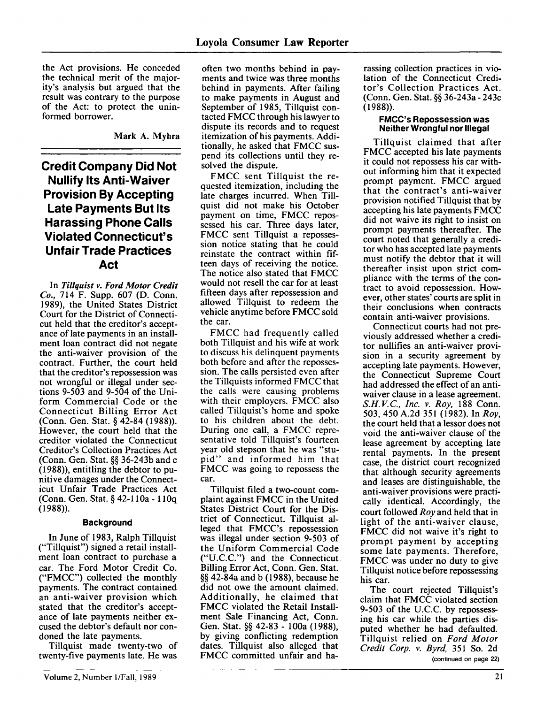the Act provisions. He conceded the technical merit of the majority's analysis but argued that the result was contrary to the purpose of the Act: to protect the uninformed borrower.

Mark A. Myhra

## **Credit Company Did Not Nullify Its Anti-Waiver Provision By Accepting Late Payments But Its Harassing Phone Calls Violated Connecticut's Unfair Trade Practices Act**

In *Tillquist v. Ford Motor Credit Co.,* 714 F. Supp. **607 (D.** Conn. **1989),** the United States District Court for the District of Connecticut held that the creditor's acceptance of late payments in an installment loan contract did not negate the anti-waiver provision of the contract. Further, the court held that the creditor's repossession was not wrongful or illegal under sections 9-503 and 9-504 of the Uniform Commercial Code or the Connecticut Billing Error Act (Conn. Gen. Stat. **§** 42-84 (1988)). However, the court held that the creditor violated the Connecticut Creditor's Collection Practices Act **(Conn. Gen. Stat.**  $\frac{8}{3}$  **36-243b and c** (1988)), entitling the debtor to punitive damages under the Connecticut Unfair Trade Practices Act (Conn. Gen. Stat. **§** 42-11 Oa **- 1 Oq** (1988)).

#### **Background**

In June of 1983, Ralph Tillquist ("Tillquist") signed a retail installment loan contract to purchase a car. The Ford Motor Credit Co. ("FMCC") collected the monthly payments. The contract contained an anti-waiver provision which stated that the creditor's acceptance of late payments neither excused the debtor's default nor condoned the late payments.

Tillquist made twenty-two of twenty-five payments late. He was

often two months behind in payments and twice was three months behind in payments. After failing to make payments in August and September of **1985,** Tillquist contacted **FMCC** through his lawyer to dispute its records and to request itemization of his payments. Additionally, he asked that **FMCC** suspend its collections until they resolved the dispute.

FMCC sent Tillquist the requested itemization, including the late charges incurred. When Tillquist did not make his October payment on time, **FMCC** repossessed his car. Three days later, **FMCC** sent Tillquist a repossession notice stating that he could reinstate the contract within fifteen days of receiving the notice. The notice also stated that **FMCC** would not resell the car for at least fifteen days after repossession and allowed Tillquist to redeem the vehicle anytime before **FMCC** sold the car.

**FMCC** had frequently called both Tillquist and his wife at work to discuss his delinquent payments both before and after the repossession. The calls persisted even after the Tillquists informed **FMCC** that the calls were causing problems with their employers. **FMCC** also called Tillquist's home and spoke to his children about the debt. During one call, a **FMCC** representative told Tillquist's fourteen year old stepson that he was "stupid" and informed him that FMCC was going to repossess the car.

Tillquist filed a two-count complaint against FMCC in the United States District Court for the District of Connecticut. Tillquist alleged that FMCC's repossession was illegal under section 9-503 of the Uniform Commercial Code ("U.C.C.") and the Connecticut. Billing Error Act, Conn. Gen. Stat. **§§** 42-84a and b (1988), because he did not owe the amount claimed. Additionally, he claimed that FMCC violated the Retail Installment Sale Financing Act, Conn. Gen. Stat. **§§** 42-83 - 100a (1988), by giving conflicting redemption dates. Tillquist also alleged that FMCC committed unfair and harassing collection practices in violation of the Connecticut Creditor's Collection Practices Act. (Conn. Gen. Stat. **§§** 36-243a - 243c (1988)).

#### **FMCC's Repossession was Neither Wrongful nor Illegal**

Tillquist claimed that after FMCC accepted his late payments it could not repossess his car without informing him that it expected prompt payment. FMCC argued that the contract's anti-waiver provision notified Tillquist that by accepting his late payments FMCC did not waive its right to insist on prompt payments thereafter. The court noted that generally a creditor who has accepted late payments must notify the debtor that it will thereafter insist upon strict compliance with the terms of the contract to avoid repossession. However, other states' courts are split in their conclusions when contracts contain anti-waiver provisions.

Connecticut courts had not previously addressed whether a creditor nullifies an anti-waiver provision in a security agreement by accepting late payments. However, the Connecticut Supreme Court had addressed the effect of an antiwaiver clause in a lease agreement. *S.H.V.C., Inc. v. Roy,* 188 Conn. 503, 450 A.2d 351 (1982). In *Roy,* the court held that a lessor does not void the anti-waiver clause of the lease agreement by accepting late rental payments. In the present case, the district court recognized that although security agreements and leases are distinguishable, the anti-waiver provisions were practically identical. Accordingly, the court followed *Roy* and held that in light of the anti-waiver clause, FMCC did not waive it's right to prompt payment by accepting some late payments. Therefore, FMCC was under no duty to give Tillquist notice before repossessing his car.

The court rejected Tillquist's claim that FMCC violated section 9-503 of the U.C.C. by repossessing his car while the parties disputed whether he had defaulted. Tillquist relied on *Ford Motor Credit Corp. v. Byrd,* 351 So. 2d (continued on page 22)